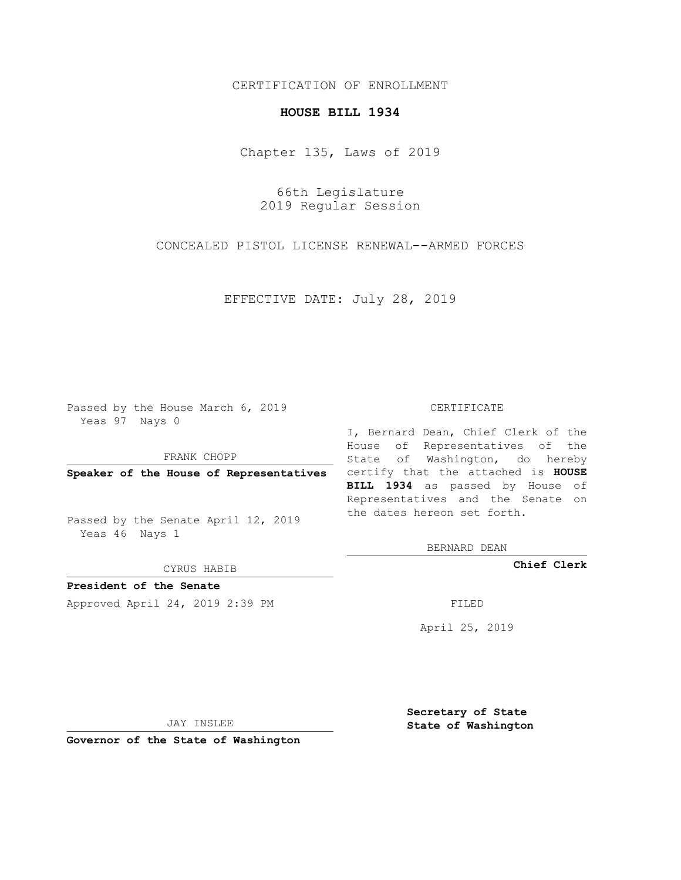## CERTIFICATION OF ENROLLMENT

## **HOUSE BILL 1934**

Chapter 135, Laws of 2019

66th Legislature 2019 Regular Session

CONCEALED PISTOL LICENSE RENEWAL--ARMED FORCES

EFFECTIVE DATE: July 28, 2019

Passed by the House March 6, 2019 Yeas 97 Nays 0

FRANK CHOPP

Passed by the Senate April 12, 2019 Yeas 46 Nays 1

CYRUS HABIB

**President of the Senate**

Approved April 24, 2019 2:39 PM FILED

## CERTIFICATE

**Speaker of the House of Representatives** certify that the attached is **HOUSE** I, Bernard Dean, Chief Clerk of the House of Representatives of the State of Washington, do hereby **BILL 1934** as passed by House of Representatives and the Senate on the dates hereon set forth.

BERNARD DEAN

**Chief Clerk**

April 25, 2019

JAY INSLEE

**Governor of the State of Washington**

**Secretary of State State of Washington**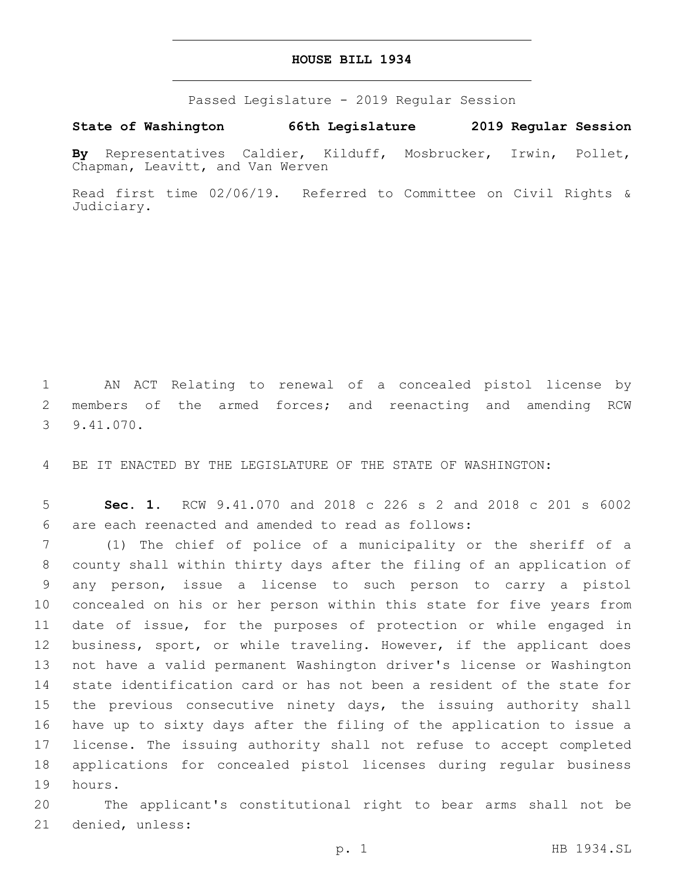## **HOUSE BILL 1934**

Passed Legislature - 2019 Regular Session

**State of Washington 66th Legislature 2019 Regular Session**

**By** Representatives Caldier, Kilduff, Mosbrucker, Irwin, Pollet, Chapman, Leavitt, and Van Werven

Read first time 02/06/19. Referred to Committee on Civil Rights & Judiciary.

1 AN ACT Relating to renewal of a concealed pistol license by 2 members of the armed forces; and reenacting and amending RCW 9.41.070.3

4 BE IT ENACTED BY THE LEGISLATURE OF THE STATE OF WASHINGTON:

5 **Sec. 1.** RCW 9.41.070 and 2018 c 226 s 2 and 2018 c 201 s 6002 are each reenacted and amended to read as follows:6

 (1) The chief of police of a municipality or the sheriff of a county shall within thirty days after the filing of an application of any person, issue a license to such person to carry a pistol concealed on his or her person within this state for five years from date of issue, for the purposes of protection or while engaged in business, sport, or while traveling. However, if the applicant does not have a valid permanent Washington driver's license or Washington state identification card or has not been a resident of the state for the previous consecutive ninety days, the issuing authority shall have up to sixty days after the filing of the application to issue a license. The issuing authority shall not refuse to accept completed applications for concealed pistol licenses during regular business 19 hours.

20 The applicant's constitutional right to bear arms shall not be 21 denied, unless: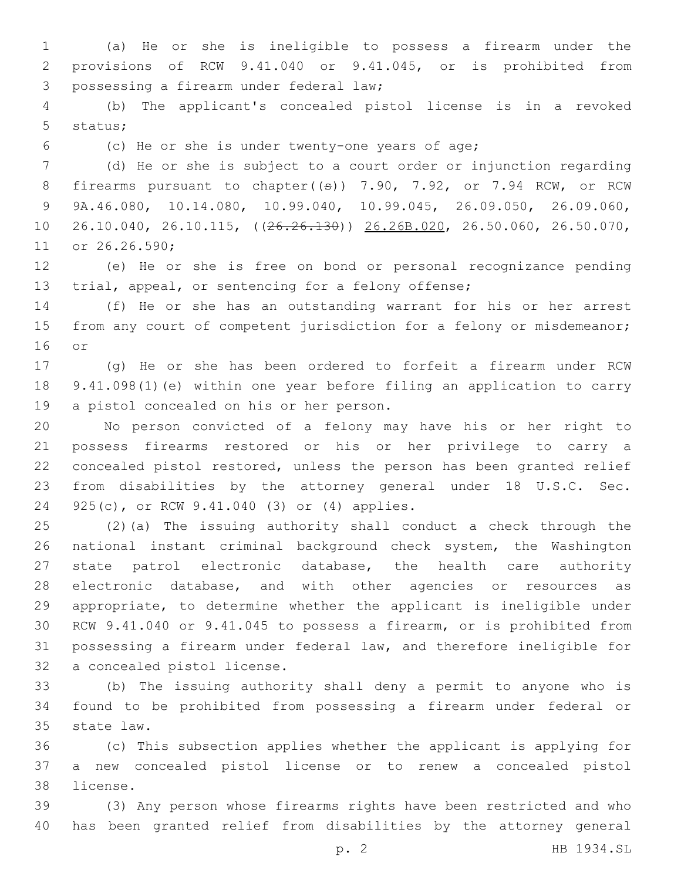(a) He or she is ineligible to possess a firearm under the provisions of RCW 9.41.040 or 9.41.045, or is prohibited from 3 possessing a firearm under federal law;

 (b) The applicant's concealed pistol license is in a revoked 5 status;

(c) He or she is under twenty-one years of age;

 (d) He or she is subject to a court order or injunction regarding 8 firearms pursuant to chapter( $(\theta)$ ) 7.90, 7.92, or 7.94 RCW, or RCW 9A.46.080, 10.14.080, 10.99.040, 10.99.045, 26.09.050, 26.09.060, 26.10.040, 26.10.115, ((26.26.130)) 26.26B.020, 26.50.060, 26.50.070, 11 or 26.26.590;

 (e) He or she is free on bond or personal recognizance pending trial, appeal, or sentencing for a felony offense;

 (f) He or she has an outstanding warrant for his or her arrest 15 from any court of competent jurisdiction for a felony or misdemeanor; 16 or

 (g) He or she has been ordered to forfeit a firearm under RCW 9.41.098(1)(e) within one year before filing an application to carry 19 a pistol concealed on his or her person.

 No person convicted of a felony may have his or her right to possess firearms restored or his or her privilege to carry a concealed pistol restored, unless the person has been granted relief from disabilities by the attorney general under 18 U.S.C. Sec. 24 925(c), or RCW 9.41.040 (3) or (4) applies.

 (2)(a) The issuing authority shall conduct a check through the national instant criminal background check system, the Washington state patrol electronic database, the health care authority electronic database, and with other agencies or resources as appropriate, to determine whether the applicant is ineligible under RCW 9.41.040 or 9.41.045 to possess a firearm, or is prohibited from possessing a firearm under federal law, and therefore ineligible for 32 a concealed pistol license.

 (b) The issuing authority shall deny a permit to anyone who is found to be prohibited from possessing a firearm under federal or 35 state law.

 (c) This subsection applies whether the applicant is applying for a new concealed pistol license or to renew a concealed pistol 38 license.

 (3) Any person whose firearms rights have been restricted and who has been granted relief from disabilities by the attorney general

p. 2 HB 1934.SL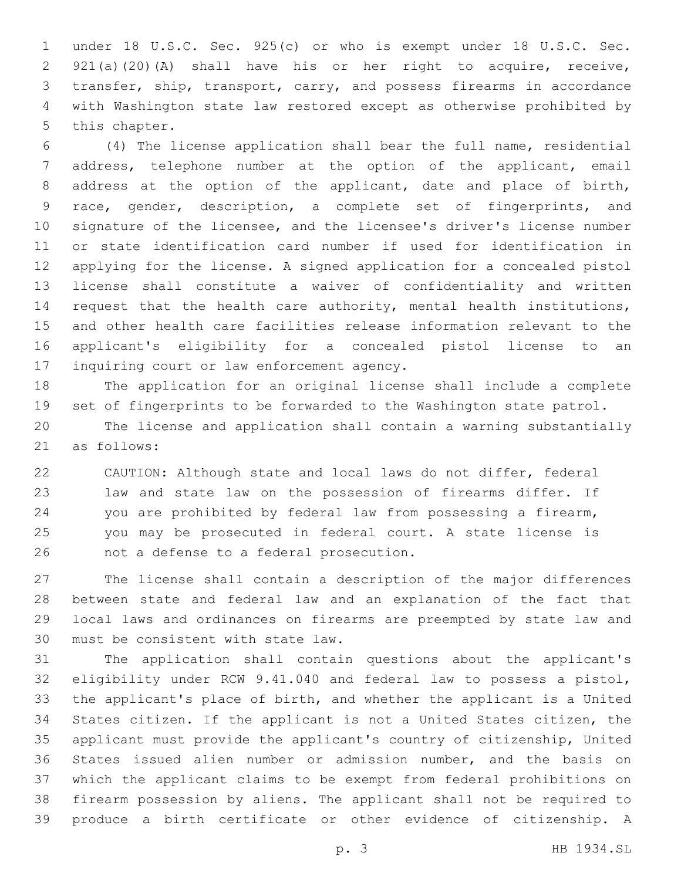under 18 U.S.C. Sec. 925(c) or who is exempt under 18 U.S.C. Sec. 921(a)(20)(A) shall have his or her right to acquire, receive, transfer, ship, transport, carry, and possess firearms in accordance with Washington state law restored except as otherwise prohibited by 5 this chapter.

 (4) The license application shall bear the full name, residential address, telephone number at the option of the applicant, email address at the option of the applicant, date and place of birth, race, gender, description, a complete set of fingerprints, and signature of the licensee, and the licensee's driver's license number or state identification card number if used for identification in applying for the license. A signed application for a concealed pistol license shall constitute a waiver of confidentiality and written 14 request that the health care authority, mental health institutions, and other health care facilities release information relevant to the applicant's eligibility for a concealed pistol license to an 17 inquiring court or law enforcement agency.

 The application for an original license shall include a complete set of fingerprints to be forwarded to the Washington state patrol. The license and application shall contain a warning substantially 21 as follows:

 CAUTION: Although state and local laws do not differ, federal law and state law on the possession of firearms differ. If you are prohibited by federal law from possessing a firearm, you may be prosecuted in federal court. A state license is 26 not a defense to a federal prosecution.

 The license shall contain a description of the major differences between state and federal law and an explanation of the fact that local laws and ordinances on firearms are preempted by state law and 30 must be consistent with state law.

 The application shall contain questions about the applicant's eligibility under RCW 9.41.040 and federal law to possess a pistol, the applicant's place of birth, and whether the applicant is a United States citizen. If the applicant is not a United States citizen, the applicant must provide the applicant's country of citizenship, United States issued alien number or admission number, and the basis on which the applicant claims to be exempt from federal prohibitions on firearm possession by aliens. The applicant shall not be required to produce a birth certificate or other evidence of citizenship. A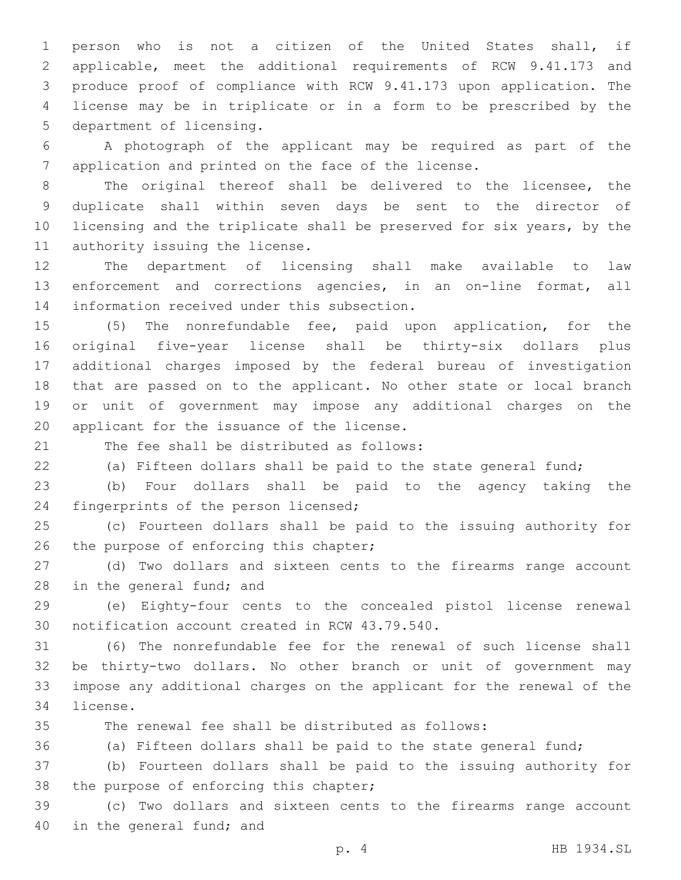person who is not a citizen of the United States shall, if applicable, meet the additional requirements of RCW 9.41.173 and produce proof of compliance with RCW 9.41.173 upon application. The license may be in triplicate or in a form to be prescribed by the 5 department of licensing.

 A photograph of the applicant may be required as part of the application and printed on the face of the license.

 The original thereof shall be delivered to the licensee, the duplicate shall within seven days be sent to the director of licensing and the triplicate shall be preserved for six years, by the 11 authority issuing the license.

 The department of licensing shall make available to law enforcement and corrections agencies, in an on-line format, all 14 information received under this subsection.

 (5) The nonrefundable fee, paid upon application, for the original five-year license shall be thirty-six dollars plus additional charges imposed by the federal bureau of investigation that are passed on to the applicant. No other state or local branch or unit of government may impose any additional charges on the 20 applicant for the issuance of the license.

21 The fee shall be distributed as follows:

(a) Fifteen dollars shall be paid to the state general fund;

 (b) Four dollars shall be paid to the agency taking the 24 fingerprints of the person licensed;

 (c) Fourteen dollars shall be paid to the issuing authority for 26 the purpose of enforcing this chapter;

 (d) Two dollars and sixteen cents to the firearms range account 28 in the general fund; and

 (e) Eighty-four cents to the concealed pistol license renewal 30 notification account created in RCW 43.79.540.

 (6) The nonrefundable fee for the renewal of such license shall be thirty-two dollars. No other branch or unit of government may impose any additional charges on the applicant for the renewal of the 34 license.

The renewal fee shall be distributed as follows:

(a) Fifteen dollars shall be paid to the state general fund;

 (b) Fourteen dollars shall be paid to the issuing authority for 38 the purpose of enforcing this chapter;

 (c) Two dollars and sixteen cents to the firearms range account 40 in the general fund; and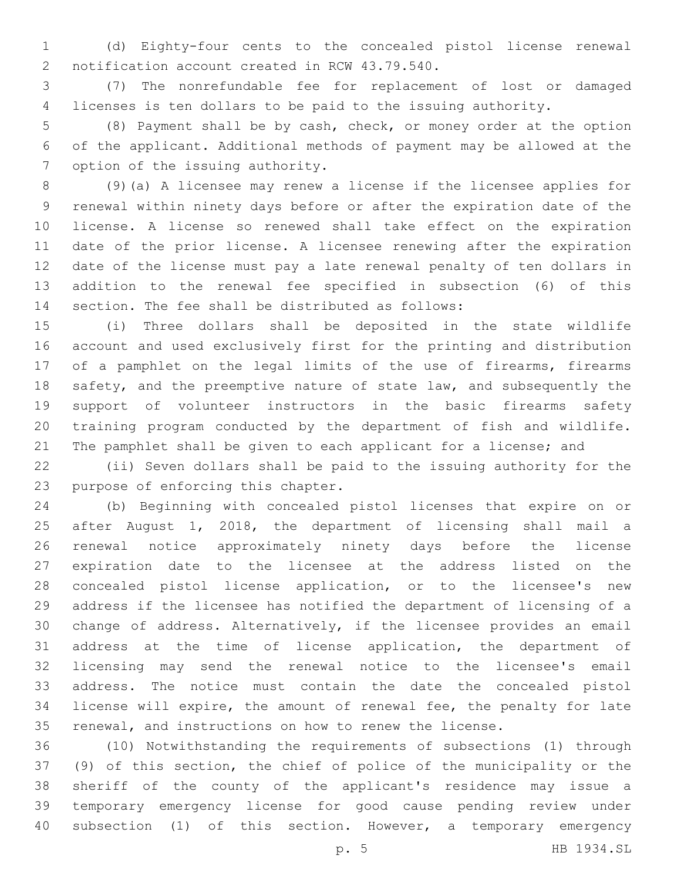(d) Eighty-four cents to the concealed pistol license renewal 2 notification account created in RCW 43.79.540.

 (7) The nonrefundable fee for replacement of lost or damaged licenses is ten dollars to be paid to the issuing authority.

 (8) Payment shall be by cash, check, or money order at the option of the applicant. Additional methods of payment may be allowed at the 7 option of the issuing authority.

 (9)(a) A licensee may renew a license if the licensee applies for renewal within ninety days before or after the expiration date of the license. A license so renewed shall take effect on the expiration date of the prior license. A licensee renewing after the expiration date of the license must pay a late renewal penalty of ten dollars in addition to the renewal fee specified in subsection (6) of this 14 section. The fee shall be distributed as follows:

 (i) Three dollars shall be deposited in the state wildlife account and used exclusively first for the printing and distribution 17 of a pamphlet on the legal limits of the use of firearms, firearms 18 safety, and the preemptive nature of state law, and subsequently the support of volunteer instructors in the basic firearms safety training program conducted by the department of fish and wildlife. 21 The pamphlet shall be given to each applicant for a license; and

 (ii) Seven dollars shall be paid to the issuing authority for the 23 purpose of enforcing this chapter.

 (b) Beginning with concealed pistol licenses that expire on or after August 1, 2018, the department of licensing shall mail a renewal notice approximately ninety days before the license expiration date to the licensee at the address listed on the concealed pistol license application, or to the licensee's new address if the licensee has notified the department of licensing of a change of address. Alternatively, if the licensee provides an email address at the time of license application, the department of licensing may send the renewal notice to the licensee's email address. The notice must contain the date the concealed pistol license will expire, the amount of renewal fee, the penalty for late renewal, and instructions on how to renew the license.

 (10) Notwithstanding the requirements of subsections (1) through (9) of this section, the chief of police of the municipality or the sheriff of the county of the applicant's residence may issue a temporary emergency license for good cause pending review under subsection (1) of this section. However, a temporary emergency

p. 5 HB 1934.SL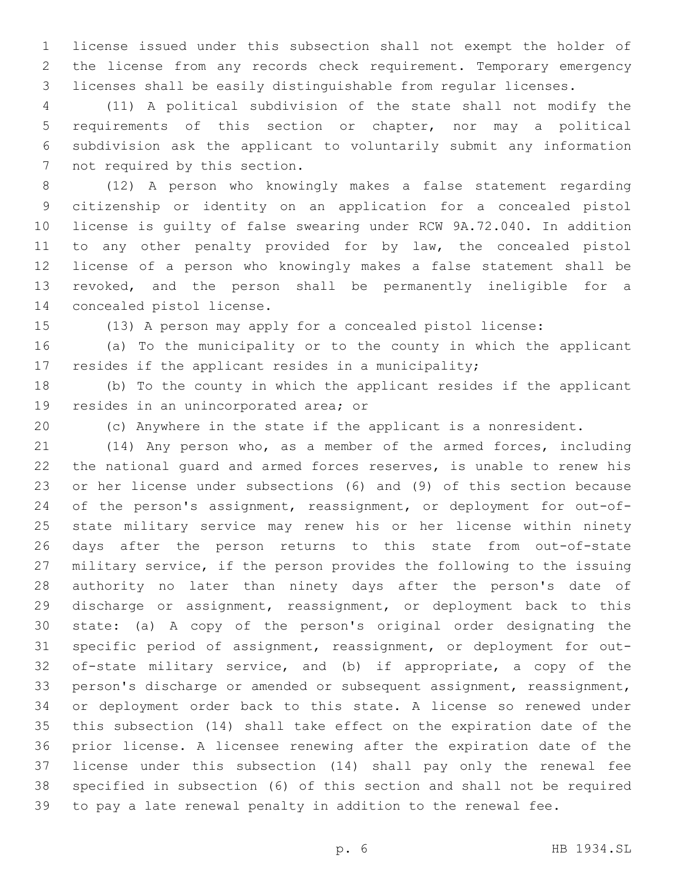license issued under this subsection shall not exempt the holder of the license from any records check requirement. Temporary emergency licenses shall be easily distinguishable from regular licenses.

 (11) A political subdivision of the state shall not modify the requirements of this section or chapter, nor may a political subdivision ask the applicant to voluntarily submit any information 7 not required by this section.

 (12) A person who knowingly makes a false statement regarding citizenship or identity on an application for a concealed pistol license is guilty of false swearing under RCW 9A.72.040. In addition to any other penalty provided for by law, the concealed pistol license of a person who knowingly makes a false statement shall be revoked, and the person shall be permanently ineligible for a 14 concealed pistol license.

(13) A person may apply for a concealed pistol license:

 (a) To the municipality or to the county in which the applicant resides if the applicant resides in a municipality;

 (b) To the county in which the applicant resides if the applicant 19 resides in an unincorporated area; or

(c) Anywhere in the state if the applicant is a nonresident.

 (14) Any person who, as a member of the armed forces, including the national guard and armed forces reserves, is unable to renew his or her license under subsections (6) and (9) of this section because of the person's assignment, reassignment, or deployment for out-of- state military service may renew his or her license within ninety days after the person returns to this state from out-of-state military service, if the person provides the following to the issuing authority no later than ninety days after the person's date of discharge or assignment, reassignment, or deployment back to this state: (a) A copy of the person's original order designating the specific period of assignment, reassignment, or deployment for out- of-state military service, and (b) if appropriate, a copy of the person's discharge or amended or subsequent assignment, reassignment, or deployment order back to this state. A license so renewed under this subsection (14) shall take effect on the expiration date of the prior license. A licensee renewing after the expiration date of the license under this subsection (14) shall pay only the renewal fee specified in subsection (6) of this section and shall not be required to pay a late renewal penalty in addition to the renewal fee.